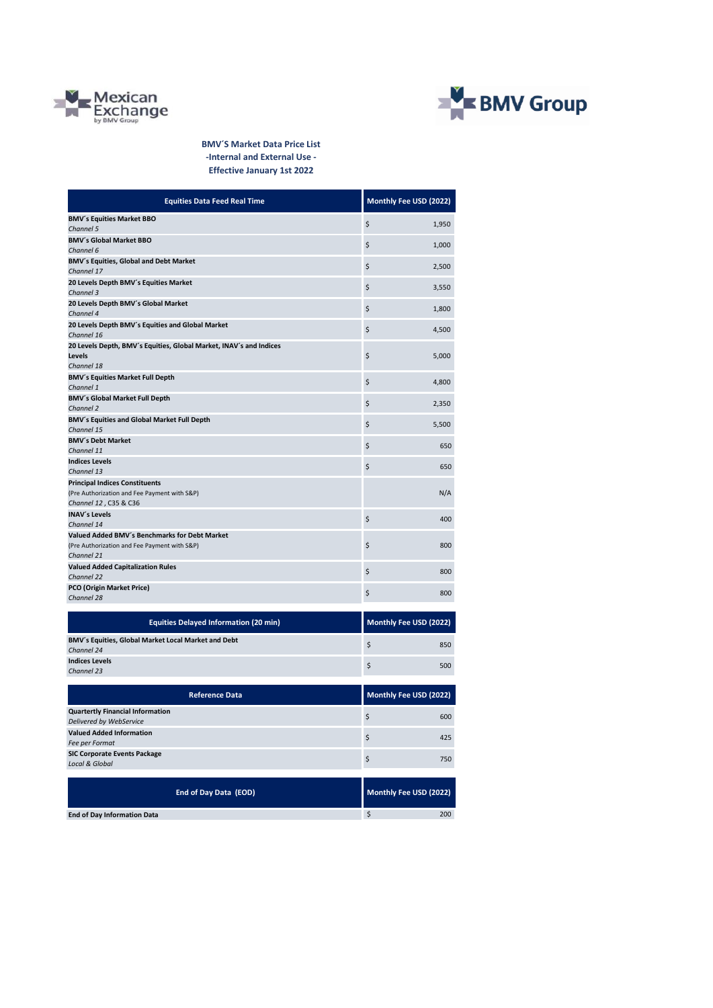



**BMV´S Market Data Price List -Internal and External Use - Effective January 1st 2022**

| <b>Equities Data Feed Real Time</b>                                                                            | Monthly Fee USD (2022) |
|----------------------------------------------------------------------------------------------------------------|------------------------|
| <b>BMV's Equities Market BBO</b>                                                                               | \$                     |
| Channel 5                                                                                                      | 1,950                  |
| <b>BMV's Global Market BBO</b>                                                                                 | \$                     |
| Channel 6                                                                                                      | 1,000                  |
| BMV's Equities, Global and Debt Market                                                                         | \$                     |
| Channel 17                                                                                                     | 2,500                  |
| 20 Levels Depth BMV's Equities Market                                                                          | \$                     |
| Channel 3                                                                                                      | 3,550                  |
| 20 Levels Depth BMV's Global Market                                                                            | \$                     |
| Channel 4                                                                                                      | 1,800                  |
| 20 Levels Depth BMV's Equities and Global Market                                                               | \$                     |
| Channel 16                                                                                                     | 4,500                  |
| 20 Levels Depth, BMV's Equities, Global Market, INAV's and Indices<br>Levels<br>Channel 18                     | \$<br>5,000            |
| <b>BMV's Equities Market Full Depth</b>                                                                        | \$                     |
| Channel 1                                                                                                      | 4,800                  |
| <b>BMV's Global Market Full Depth</b>                                                                          | \$                     |
| Channel 2                                                                                                      | 2,350                  |
| BMV's Equities and Global Market Full Depth                                                                    | \$                     |
| Channel 15                                                                                                     | 5,500                  |
| <b>BMV's Debt Market</b>                                                                                       | \$                     |
| Channel 11                                                                                                     | 650                    |
| <b>Indices Levels</b>                                                                                          | \$                     |
| Channel 13                                                                                                     | 650                    |
| <b>Principal Indices Constituents</b><br>(Pre Authorization and Fee Payment with S&P)<br>Channel 12, C35 & C36 | N/A                    |
| <b>INAV's Levels</b>                                                                                           | \$                     |
| Channel 14                                                                                                     | 400                    |
| Valued Added BMV's Benchmarks for Debt Market<br>(Pre Authorization and Fee Payment with S&P)<br>Channel 21    | \$<br>800              |
| <b>Valued Added Capitalization Rules</b>                                                                       | \$                     |
| Channel 22                                                                                                     | 800                    |
| <b>PCO (Origin Market Price)</b>                                                                               | \$                     |
| Channel 28                                                                                                     | 800                    |
| <b>Equities Delayed Information (20 min)</b>                                                                   | Monthly Fee USD (2022) |
| BMV's Equities, Global Market Local Market and Debt                                                            | \$                     |
| Channel 24                                                                                                     | 850                    |
| <b>Indices Levels</b>                                                                                          | \$                     |
| Channel 23                                                                                                     | 500                    |
| <b>Reference Data</b>                                                                                          |                        |
| <b>Quartertly Financial Information</b>                                                                        | Monthly Fee USD (2022) |
| Delivered by WebService                                                                                        | \$<br>600              |
| <b>Valued Added Information</b>                                                                                | \$                     |
| Fee per Format                                                                                                 | 425                    |
| <b>SIC Corporate Events Package</b>                                                                            | \$                     |
| <b>Local &amp; Global</b>                                                                                      | 750                    |
| End of Day Data (EOD)                                                                                          | Monthly Fee USD (2022) |
| <b>End of Day Information Data</b>                                                                             | $\sqrt{ }$<br>200      |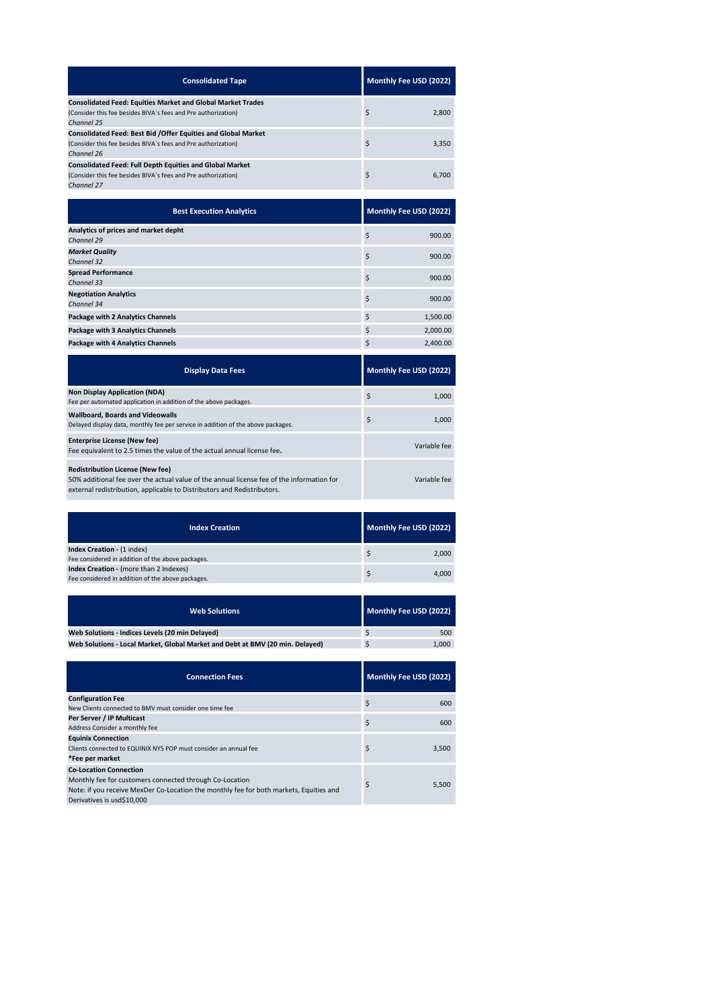| <b>Consolidated Tape</b>                                                                                                                             | Monthly Fee USD (2022) |
|------------------------------------------------------------------------------------------------------------------------------------------------------|------------------------|
| <b>Consolidated Feed: Equities Market and Global Market Trades</b><br>(Consider this fee besides BIVA's fees and Pre authorization)<br>Channel 25    | \$<br>2,800            |
| <b>Consolidated Feed: Best Bid / Offer Equities and Global Market</b><br>(Consider this fee besides BIVA's fees and Pre authorization)<br>Channel 26 | \$<br>3.350            |
| <b>Consolidated Feed: Full Depth Equities and Global Market</b><br>(Consider this fee besides BIVA's fees and Pre authorization)<br>Channel 27       | \$<br>6.700            |

| <b>Best Execution Analytics</b>                    |    | Monthly Fee USD (2022) |  |  |
|----------------------------------------------------|----|------------------------|--|--|
| Analytics of prices and market depht<br>Channel 29 | \$ | 900.00                 |  |  |
| <b>Market Quality</b><br>Channel 32                | \$ | 900.00                 |  |  |
| <b>Spread Performance</b><br>Channel 33            | \$ | 900.00                 |  |  |
| <b>Negotiation Analytics</b><br>Channel 34         | \$ | 900.00                 |  |  |
| <b>Package with 2 Analytics Channels</b>           | \$ | 1,500.00               |  |  |
| <b>Package with 3 Analytics Channels</b>           | \$ | 2,000.00               |  |  |
| <b>Package with 4 Analytics Channels</b>           | \$ | 2,400.00               |  |  |
|                                                    |    |                        |  |  |

| <b>Display Data Fees</b>                                                                                                                                                                                        | Monthly Fee USD (2022) |
|-----------------------------------------------------------------------------------------------------------------------------------------------------------------------------------------------------------------|------------------------|
| <b>Non Display Application (NDA)</b><br>Fee per automated application in addition of the above packages.                                                                                                        | \$<br>1.000            |
| <b>Wallboard, Boards and Videowalls</b><br>Delayed display data, monthly fee per service in addition of the above packages.                                                                                     | \$<br>1.000            |
| <b>Enterprise License (New fee)</b><br>Fee equivalent to 2.5 times the value of the actual annual license fee.                                                                                                  | Variable fee           |
| <b>Redistribution License (New fee)</b><br>50% additional fee over the actual value of the annual license fee of the information for<br>external redistribution, applicable to Distributors and Redistributors. | Variable fee           |

| <b>Index Creation</b>                                                                              | Monthly Fee USD (2022) |
|----------------------------------------------------------------------------------------------------|------------------------|
| <b>Index Creation - (1 index)</b><br>Fee considered in addition of the above packages.             | 2.000                  |
| <b>Index Creation - (more than 2 Indexes)</b><br>Fee considered in addition of the above packages. | \$<br>4.000            |

| <b>Web Solutions</b>                                                          | Monthly Fee USD (2022) |
|-------------------------------------------------------------------------------|------------------------|
| Web Solutions - Indices Levels (20 min Delaved)                               | 500                    |
| Web Solutions - Local Market, Global Market and Debt at BMV (20 min, Delaved) | 1.000                  |

| <b>Connection Fees</b>                                                                                                                                                                                           | Monthly Fee USD (2022) |
|------------------------------------------------------------------------------------------------------------------------------------------------------------------------------------------------------------------|------------------------|
| <b>Configuration Fee</b><br>New Clients connected to BMV must consider one time fee                                                                                                                              | \$<br>600              |
| Per Server / IP Multicast<br>Address Consider a monthly fee                                                                                                                                                      | \$<br>600              |
| <b>Equinix Connection</b><br>Clients connected to EQUINIX NY5 POP must consider an annual fee<br>*Fee per market                                                                                                 | \$<br>3,500            |
| <b>Co-Location Connection</b><br>Monthly fee for customers connected through Co-Location<br>Note: if you receive MexDer Co-Location the monthly fee for both markets, Equities and<br>Derivatives is usd\$10,000 | \$<br>5,500            |